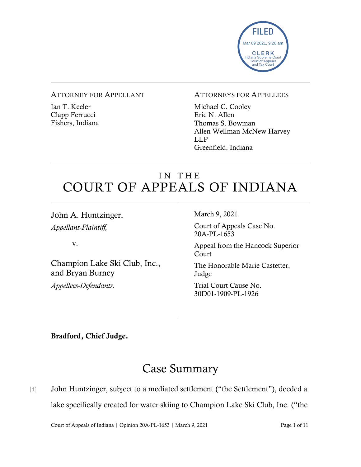

#### ATTORNEY FOR APPELLANT

Ian T. Keeler Clapp Ferrucci Fishers, Indiana

#### ATTORNEYS FOR APPELLEES

Michael C. Cooley Eric N. Allen Thomas S. Bowman Allen Wellman McNew Harvey LLP Greenfield, Indiana

# IN THE COURT OF APPEALS OF INDIANA

John A. Huntzinger, *Appellant-Plaintiff,*

v.

Champion Lake Ski Club, Inc., and Bryan Burney *Appellees-Defendants.*

March 9, 2021

Court of Appeals Case No. 20A-PL-1653

Appeal from the Hancock Superior Court

The Honorable Marie Castetter, Judge

Trial Court Cause No. 30D01-1909-PL-1926

### Bradford, Chief Judge.

# Case Summary

[1] John Huntzinger, subject to a mediated settlement ("the Settlement"), deeded a lake specifically created for water skiing to Champion Lake Ski Club, Inc. ("the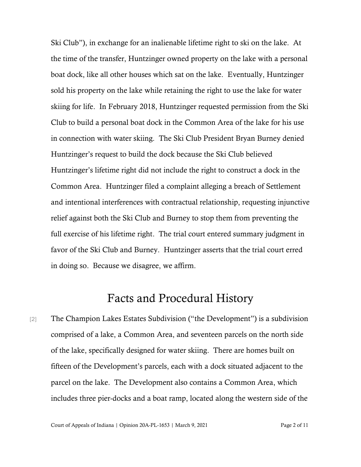Ski Club"), in exchange for an inalienable lifetime right to ski on the lake. At the time of the transfer, Huntzinger owned property on the lake with a personal boat dock, like all other houses which sat on the lake. Eventually, Huntzinger sold his property on the lake while retaining the right to use the lake for water skiing for life. In February 2018, Huntzinger requested permission from the Ski Club to build a personal boat dock in the Common Area of the lake for his use in connection with water skiing. The Ski Club President Bryan Burney denied Huntzinger's request to build the dock because the Ski Club believed Huntzinger's lifetime right did not include the right to construct a dock in the Common Area. Huntzinger filed a complaint alleging a breach of Settlement and intentional interferences with contractual relationship, requesting injunctive relief against both the Ski Club and Burney to stop them from preventing the full exercise of his lifetime right. The trial court entered summary judgment in favor of the Ski Club and Burney. Huntzinger asserts that the trial court erred in doing so. Because we disagree, we affirm.

## Facts and Procedural History

[2] The Champion Lakes Estates Subdivision ("the Development") is a subdivision comprised of a lake, a Common Area, and seventeen parcels on the north side of the lake, specifically designed for water skiing. There are homes built on fifteen of the Development's parcels, each with a dock situated adjacent to the parcel on the lake. The Development also contains a Common Area, which includes three pier-docks and a boat ramp, located along the western side of the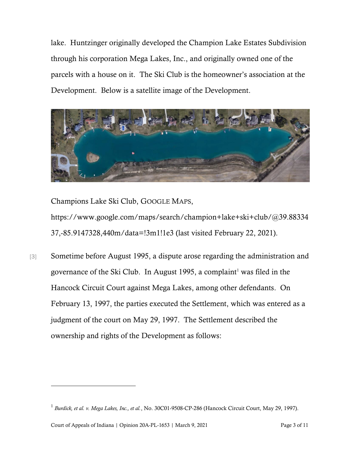lake. Huntzinger originally developed the Champion Lake Estates Subdivision through his corporation Mega Lakes, Inc., and originally owned one of the parcels with a house on it. The Ski Club is the homeowner's association at the Development. Below is a satellite image of the Development.



Champions Lake Ski Club, GOOGLE MAPS,

https://www.google.com/maps/search/champion+lake+ski+club/@39.88334 37,-85.9147328,440m/data=!3m1!1e3 (last visited February 22, 2021).

[3] Sometime before August 1995, a dispute arose regarding the administration and governance of the Ski Club. In August 1995, a complaint<sup>1</sup> was filed in the Hancock Circuit Court against Mega Lakes, among other defendants. On February 13, 1997, the parties executed the Settlement, which was entered as a judgment of the court on May 29, 1997. The Settlement described the ownership and rights of the Development as follows:

Court of Appeals of Indiana | Opinion 20A-PL-1653 | March 9, 2021 Page 3 of 11

<sup>1</sup> *Burdick, et al. v. Mega Lakes, Inc., et al.*, No. 30C01-9508-CP-286 (Hancock Circuit Court, May 29, 1997).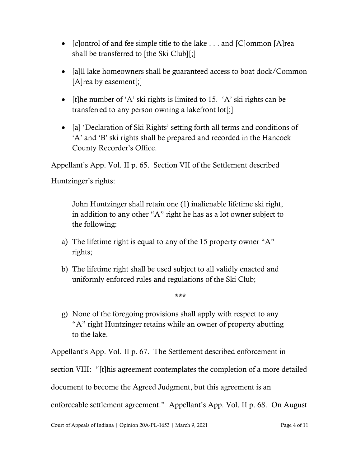- [c]ontrol of and fee simple title to the lake . . . and [C]ommon [A]rea shall be transferred to [the Ski Club][;]
- [a] lake homeowners shall be guaranteed access to boat dock/Common [A]rea by easement[;]
- It the number of 'A' ski rights is limited to 15. 'A' ski rights can be transferred to any person owning a lakefront lot[;]
- [a] 'Declaration of Ski Rights' setting forth all terms and conditions of 'A' and 'B' ski rights shall be prepared and recorded in the Hancock County Recorder's Office.

Appellant's App. Vol. II p. 65. Section VII of the Settlement described

Huntzinger's rights:

John Huntzinger shall retain one (1) inalienable lifetime ski right, in addition to any other "A" right he has as a lot owner subject to the following:

- a) The lifetime right is equal to any of the 15 property owner "A" rights;
- b) The lifetime right shall be used subject to all validly enacted and uniformly enforced rules and regulations of the Ski Club;
- g) None of the foregoing provisions shall apply with respect to any "A" right Huntzinger retains while an owner of property abutting to the lake.

\*\*\*

Appellant's App. Vol. II p. 67. The Settlement described enforcement in section VIII: "[t]his agreement contemplates the completion of a more detailed document to become the Agreed Judgment, but this agreement is an enforceable settlement agreement." Appellant's App. Vol. II p. 68. On August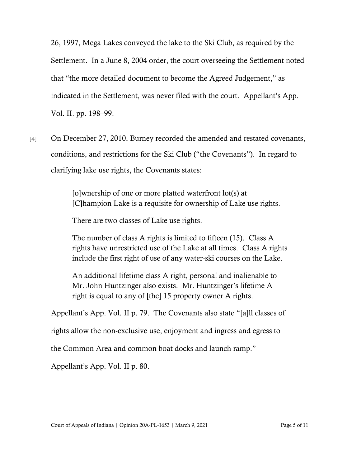26, 1997, Mega Lakes conveyed the lake to the Ski Club, as required by the Settlement. In a June 8, 2004 order, the court overseeing the Settlement noted that "the more detailed document to become the Agreed Judgement," as indicated in the Settlement, was never filed with the court. Appellant's App. Vol. II. pp. 198–99.

[4] On December 27, 2010, Burney recorded the amended and restated covenants, conditions, and restrictions for the Ski Club ("the Covenants"). In regard to clarifying lake use rights, the Covenants states:

> [o]wnership of one or more platted waterfront lot(s) at [C]hampion Lake is a requisite for ownership of Lake use rights.

There are two classes of Lake use rights.

The number of class A rights is limited to fifteen (15). Class A rights have unrestricted use of the Lake at all times. Class A rights include the first right of use of any water-ski courses on the Lake.

An additional lifetime class A right, personal and inalienable to Mr. John Huntzinger also exists. Mr. Huntzinger's lifetime A right is equal to any of [the] 15 property owner A rights.

Appellant's App. Vol. II p. 79. The Covenants also state "[a]ll classes of

rights allow the non-exclusive use, enjoyment and ingress and egress to

the Common Area and common boat docks and launch ramp."

Appellant's App. Vol. II p. 80.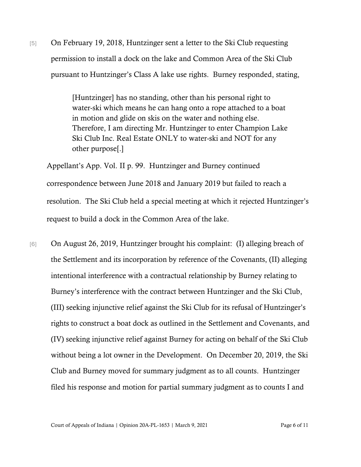[5] On February 19, 2018, Huntzinger sent a letter to the Ski Club requesting permission to install a dock on the lake and Common Area of the Ski Club pursuant to Huntzinger's Class A lake use rights. Burney responded, stating,

> [Huntzinger] has no standing, other than his personal right to water-ski which means he can hang onto a rope attached to a boat in motion and glide on skis on the water and nothing else. Therefore, I am directing Mr. Huntzinger to enter Champion Lake Ski Club Inc. Real Estate ONLY to water-ski and NOT for any other purpose[.]

Appellant's App. Vol. II p. 99. Huntzinger and Burney continued correspondence between June 2018 and January 2019 but failed to reach a resolution. The Ski Club held a special meeting at which it rejected Huntzinger's request to build a dock in the Common Area of the lake.

[6] On August 26, 2019, Huntzinger brought his complaint: (I) alleging breach of the Settlement and its incorporation by reference of the Covenants, (II) alleging intentional interference with a contractual relationship by Burney relating to Burney's interference with the contract between Huntzinger and the Ski Club, (III) seeking injunctive relief against the Ski Club for its refusal of Huntzinger's rights to construct a boat dock as outlined in the Settlement and Covenants, and (IV) seeking injunctive relief against Burney for acting on behalf of the Ski Club without being a lot owner in the Development. On December 20, 2019, the Ski Club and Burney moved for summary judgment as to all counts. Huntzinger filed his response and motion for partial summary judgment as to counts I and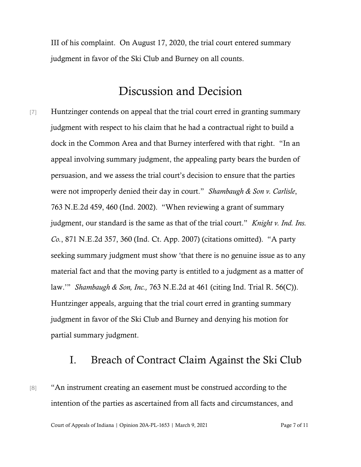III of his complaint. On August 17, 2020, the trial court entered summary judgment in favor of the Ski Club and Burney on all counts.

## Discussion and Decision

[7] Huntzinger contends on appeal that the trial court erred in granting summary judgment with respect to his claim that he had a contractual right to build a dock in the Common Area and that Burney interfered with that right. "In an appeal involving summary judgment, the appealing party bears the burden of persuasion, and we assess the trial court's decision to ensure that the parties were not improperly denied their day in court." *Shambaugh & Son v. Carlisle*, 763 N.E.2d 459, 460 (Ind. 2002). "When reviewing a grant of summary judgment, our standard is the same as that of the trial court." *Knight v. Ind. Ins. Co.*, 871 N.E.2d 357, 360 (Ind. Ct. App. 2007) (citations omitted). "A party seeking summary judgment must show 'that there is no genuine issue as to any material fact and that the moving party is entitled to a judgment as a matter of law.'" *Shambaugh & Son, Inc.,* 763 N.E.2d at 461 (citing Ind. Trial R. 56(C)). Huntzinger appeals, arguing that the trial court erred in granting summary judgment in favor of the Ski Club and Burney and denying his motion for partial summary judgment.

### I. Breach of Contract Claim Against the Ski Club

[8] "An instrument creating an easement must be construed according to the intention of the parties as ascertained from all facts and circumstances, and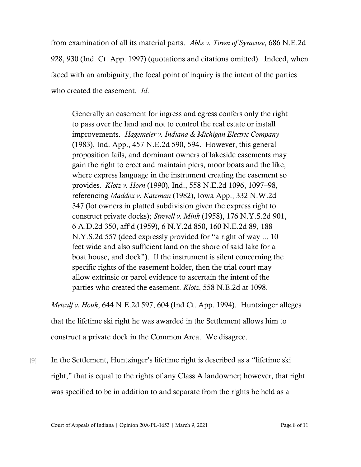from examination of all its material parts. *Abbs v. Town of Syracuse*, 686 N.E.2d 928, 930 (Ind. Ct. App. 1997) (quotations and citations omitted). Indeed, when faced with an ambiguity, the focal point of inquiry is the intent of the parties who created the easement. *Id*.

Generally an easement for ingress and egress confers only the right to pass over the land and not to control the real estate or install improvements. *Hagemeier v. Indiana & Michigan Electric Company* (1983), Ind. App., 457 N.E.2d 590, 594. However, this general proposition fails, and dominant owners of lakeside easements may gain the right to erect and maintain piers, moor boats and the like, where express language in the instrument creating the easement so provides*. Klotz v. Horn* (1990), Ind., 558 N.E.2d 1096, 1097–98, referencing *Maddox v. Katzman* (1982), Iowa App., 332 N.W.2d 347 (lot owners in platted subdivision given the express right to construct private docks); *Strevell v. Mink* (1958), 176 N.Y.S.2d 901, 6 A.D.2d 350, aff'd (1959), 6 N.Y.2d 850, 160 N.E.2d 89, 188 N.Y.S.2d 557 (deed expressly provided for "a right of way ... 10 feet wide and also sufficient land on the shore of said lake for a boat house, and dock"). If the instrument is silent concerning the specific rights of the easement holder, then the trial court may allow extrinsic or parol evidence to ascertain the intent of the parties who created the easement*. Klotz*, 558 N.E.2d at 1098.

*Metcalf v. Houk*, 644 N.E.2d 597, 604 (Ind Ct. App. 1994). Huntzinger alleges that the lifetime ski right he was awarded in the Settlement allows him to construct a private dock in the Common Area. We disagree.

[9] In the Settlement, Huntzinger's lifetime right is described as a "lifetime ski right," that is equal to the rights of any Class A landowner; however, that right was specified to be in addition to and separate from the rights he held as a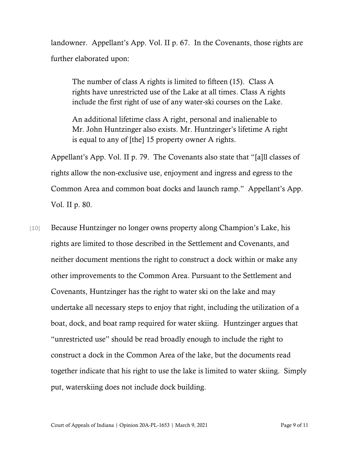landowner. Appellant's App. Vol. II p. 67. In the Covenants, those rights are further elaborated upon:

The number of class A rights is limited to fifteen (15). Class A rights have unrestricted use of the Lake at all times. Class A rights include the first right of use of any water-ski courses on the Lake.

An additional lifetime class A right, personal and inalienable to Mr. John Huntzinger also exists. Mr. Huntzinger's lifetime A right is equal to any of [the] 15 property owner A rights.

Appellant's App. Vol. II p. 79. The Covenants also state that "[a]ll classes of rights allow the non-exclusive use, enjoyment and ingress and egress to the Common Area and common boat docks and launch ramp." Appellant's App. Vol. II p. 80.

[10] Because Huntzinger no longer owns property along Champion's Lake, his rights are limited to those described in the Settlement and Covenants, and neither document mentions the right to construct a dock within or make any other improvements to the Common Area. Pursuant to the Settlement and Covenants, Huntzinger has the right to water ski on the lake and may undertake all necessary steps to enjoy that right, including the utilization of a boat, dock, and boat ramp required for water skiing. Huntzinger argues that "unrestricted use" should be read broadly enough to include the right to construct a dock in the Common Area of the lake, but the documents read together indicate that his right to use the lake is limited to water skiing. Simply put, waterskiing does not include dock building.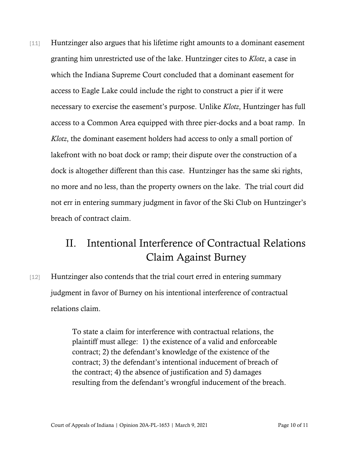[11] Huntzinger also argues that his lifetime right amounts to a dominant easement granting him unrestricted use of the lake. Huntzinger cites to *Klotz*, a case in which the Indiana Supreme Court concluded that a dominant easement for access to Eagle Lake could include the right to construct a pier if it were necessary to exercise the easement's purpose. Unlike *Klotz*, Huntzinger has full access to a Common Area equipped with three pier-docks and a boat ramp. In *Klotz*, the dominant easement holders had access to only a small portion of lakefront with no boat dock or ramp; their dispute over the construction of a dock is altogether different than this case. Huntzinger has the same ski rights, no more and no less, than the property owners on the lake. The trial court did not err in entering summary judgment in favor of the Ski Club on Huntzinger's breach of contract claim.

## II. Intentional Interference of Contractual Relations Claim Against Burney

[12] Huntzinger also contends that the trial court erred in entering summary judgment in favor of Burney on his intentional interference of contractual relations claim.

> To state a claim for interference with contractual relations, the plaintiff must allege: 1) the existence of a valid and enforceable contract; 2) the defendant's knowledge of the existence of the contract; 3) the defendant's intentional inducement of breach of the contract; 4) the absence of justification and 5) damages resulting from the defendant's wrongful inducement of the breach.